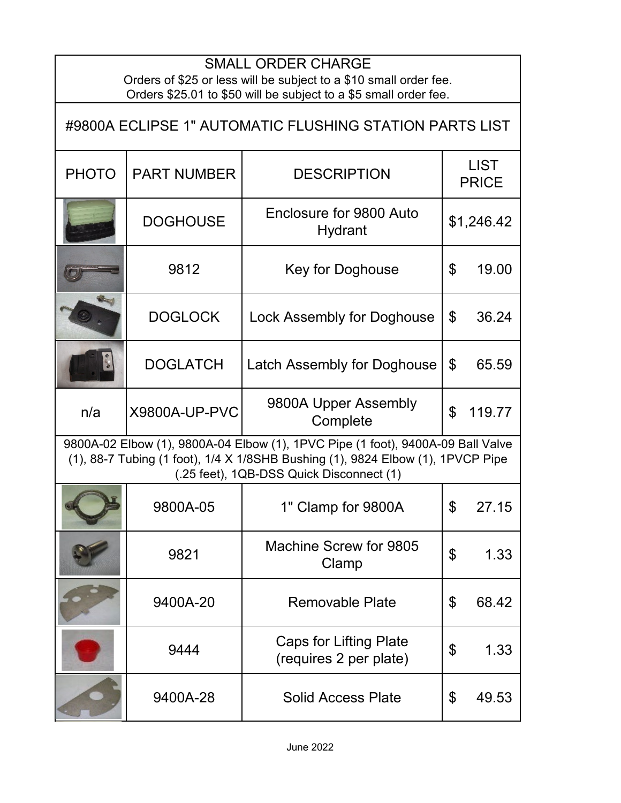## SMALL ORDER CHARGE

Orders of \$25 or less will be subject to a \$10 small order fee. Orders \$25.01 to \$50 will be subject to a \$5 small order fee.

| #9800A ECLIPSE 1" AUTOMATIC FLUSHING STATION PARTS LIST                                                                                                                                                        |                      |                                                         |                             |        |  |
|----------------------------------------------------------------------------------------------------------------------------------------------------------------------------------------------------------------|----------------------|---------------------------------------------------------|-----------------------------|--------|--|
| <b>PHOTO</b>                                                                                                                                                                                                   | <b>PART NUMBER</b>   | <b>DESCRIPTION</b>                                      | <b>LIST</b><br><b>PRICE</b> |        |  |
|                                                                                                                                                                                                                | <b>DOGHOUSE</b>      | Enclosure for 9800 Auto<br>Hydrant                      | \$1,246.42                  |        |  |
|                                                                                                                                                                                                                | 9812                 | Key for Doghouse                                        | \$                          | 19.00  |  |
|                                                                                                                                                                                                                | <b>DOGLOCK</b>       | Lock Assembly for Doghouse                              | \$                          | 36.24  |  |
|                                                                                                                                                                                                                | <b>DOGLATCH</b>      | <b>Latch Assembly for Doghouse</b>                      | \$                          | 65.59  |  |
| n/a                                                                                                                                                                                                            | <b>X9800A-UP-PVC</b> | 9800A Upper Assembly<br>Complete                        | \$                          | 119.77 |  |
| 9800A-02 Elbow (1), 9800A-04 Elbow (1), 1PVC Pipe (1 foot), 9400A-09 Ball Valve<br>(1), 88-7 Tubing (1 foot), 1/4 X 1/8SHB Bushing (1), 9824 Elbow (1), 1PVCP Pipe<br>(.25 feet), 1QB-DSS Quick Disconnect (1) |                      |                                                         |                             |        |  |
|                                                                                                                                                                                                                | 9800A-05             | 1" Clamp for 9800A                                      | $\mathfrak{L}$              | 27.15  |  |
|                                                                                                                                                                                                                | 9821                 | Machine Screw for 9805<br>Clamp                         | $\mathfrak{P}$              | 1.33   |  |
|                                                                                                                                                                                                                | 9400A-20             | <b>Removable Plate</b>                                  | \$                          | 68.42  |  |
|                                                                                                                                                                                                                | 9444                 | <b>Caps for Lifting Plate</b><br>(requires 2 per plate) | \$                          | 1.33   |  |
|                                                                                                                                                                                                                | 9400A-28             | <b>Solid Access Plate</b>                               | \$                          | 49.53  |  |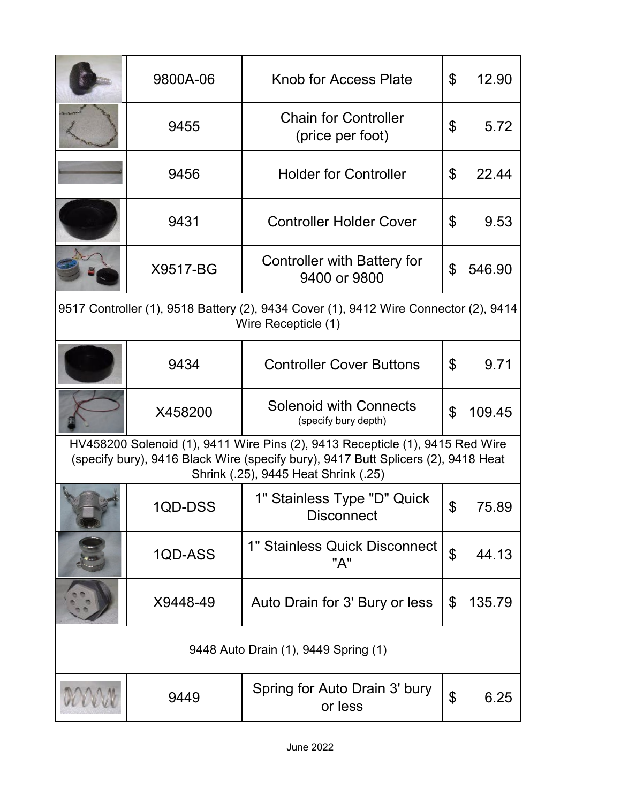|                                                                                                                                                                                                            | 9800A-06 | Knob for Access Plate                                 | \$                    | 12.90  |  |
|------------------------------------------------------------------------------------------------------------------------------------------------------------------------------------------------------------|----------|-------------------------------------------------------|-----------------------|--------|--|
|                                                                                                                                                                                                            | 9455     | <b>Chain for Controller</b><br>(price per foot)       | $\mathfrak{L}$        | 5.72   |  |
|                                                                                                                                                                                                            | 9456     | <b>Holder for Controller</b>                          | \$                    | 22.44  |  |
|                                                                                                                                                                                                            | 9431     | <b>Controller Holder Cover</b>                        | \$                    | 9.53   |  |
|                                                                                                                                                                                                            | X9517-BG | Controller with Battery for<br>9400 or 9800           | \$                    | 546.90 |  |
| 9517 Controller (1), 9518 Battery (2), 9434 Cover (1), 9412 Wire Connector (2), 9414<br>Wire Recepticle (1)                                                                                                |          |                                                       |                       |        |  |
|                                                                                                                                                                                                            | 9434     | <b>Controller Cover Buttons</b>                       | $\mathfrak{L}$        | 9.71   |  |
|                                                                                                                                                                                                            | X458200  | <b>Solenoid with Connects</b><br>(specify bury depth) | \$                    | 109.45 |  |
| HV458200 Solenoid (1), 9411 Wire Pins (2), 9413 Recepticle (1), 9415 Red Wire<br>(specify bury), 9416 Black Wire (specify bury), 9417 Butt Splicers (2), 9418 Heat<br>Shrink (.25), 9445 Heat Shrink (.25) |          |                                                       |                       |        |  |
|                                                                                                                                                                                                            | 1QD-DSS  | 1" Stainless Type "D" Quick<br><b>Disconnect</b>      | \$                    | 75.89  |  |
|                                                                                                                                                                                                            | 1QD-ASS  | 1" Stainless Quick Disconnect<br>"A"                  | $\mathfrak{P}$        | 44.13  |  |
|                                                                                                                                                                                                            | X9448-49 | Auto Drain for 3' Bury or less                        | \$                    | 135.79 |  |
| 9448 Auto Drain (1), 9449 Spring (1)                                                                                                                                                                       |          |                                                       |                       |        |  |
|                                                                                                                                                                                                            | 9449     | Spring for Auto Drain 3' bury<br>or less              | $\boldsymbol{\theta}$ | 6.25   |  |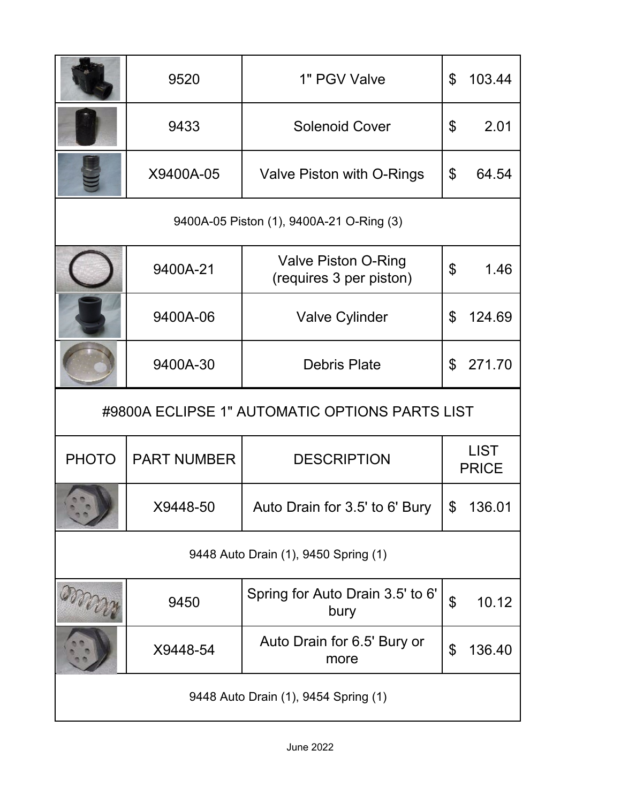|                                                | 9520               | 1" PGV Valve                                          | \$                        | 103.44                      |  |
|------------------------------------------------|--------------------|-------------------------------------------------------|---------------------------|-----------------------------|--|
|                                                | 9433               | <b>Solenoid Cover</b>                                 | $\boldsymbol{\mathsf{S}}$ | 2.01                        |  |
|                                                | X9400A-05          | Valve Piston with O-Rings                             | \$                        | 64.54                       |  |
| 9400A-05 Piston (1), 9400A-21 O-Ring (3)       |                    |                                                       |                           |                             |  |
|                                                | 9400A-21           | <b>Valve Piston O-Ring</b><br>(requires 3 per piston) | $\mathfrak{L}$            | 1.46                        |  |
|                                                | 9400A-06           | <b>Valve Cylinder</b>                                 | $\mathfrak{L}$            | 124.69                      |  |
|                                                | 9400A-30           | <b>Debris Plate</b>                                   | $\mathfrak{L}$            | 271.70                      |  |
| #9800A ECLIPSE 1" AUTOMATIC OPTIONS PARTS LIST |                    |                                                       |                           |                             |  |
|                                                |                    |                                                       |                           |                             |  |
| <b>PHOTO</b>                                   | <b>PART NUMBER</b> | <b>DESCRIPTION</b>                                    |                           | <b>LIST</b><br><b>PRICE</b> |  |
|                                                | X9448-50           | Auto Drain for 3.5' to 6' Bury                        | $\frac{1}{2}$             | 136.01                      |  |
|                                                |                    | 9448 Auto Drain (1), 9450 Spring (1)                  |                           |                             |  |
|                                                | 9450               | Spring for Auto Drain 3.5' to 6'<br>bury              | $\mathfrak{S}$            | 10.12                       |  |
|                                                | X9448-54           | Auto Drain for 6.5' Bury or<br>more                   | \$                        | 136.40                      |  |